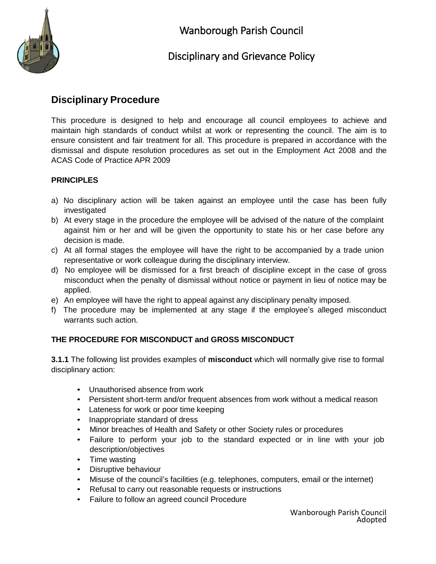

# **Disciplinary Procedure**

This procedure is designed to help and encourage all council employees to achieve and maintain high standards of conduct whilst at work or representing the council. The aim is to ensure consistent and fair treatment for all. This procedure is prepared in accordance with the dismissal and dispute resolution procedures as set out in the Employment Act 2008 and the ACAS Code of Practice APR 2009

## **PRINCIPLES**

- a) No disciplinary action will be taken against an employee until the case has been fully investigated
- b) At every stage in the procedure the employee will be advised of the nature of the complaint against him or her and will be given the opportunity to state his or her case before any decision is made.
- c) At all formal stages the employee will have the right to be accompanied by a trade union representative or work colleague during the disciplinary interview.
- d) No employee will be dismissed for a first breach of discipline except in the case of gross misconduct when the penalty of dismissal without notice or payment in lieu of notice may be applied.
- e) An employee will have the right to appeal against any disciplinary penalty imposed.
- f) The procedure may be implemented at any stage if the employee's alleged misconduct warrants such action.

## **THE PROCEDURE FOR MISCONDUCT and GROSS MISCONDUCT**

**3.1.1** The following list provides examples of **misconduct** which will normally give rise to formal disciplinary action:

- Unauthorised absence from work
- Persistent short-term and/or frequent absences from work without a medical reason
- Lateness for work or poor time keeping
- Inappropriate standard of dress
- Minor breaches of Health and Safety or other Society rules or procedures
- Failure to perform your job to the standard expected or in line with your job description/objectives
- Time wasting
- Disruptive behaviour
- Misuse of the council's facilities (e.g. telephones, computers, email or the internet)
- Refusal to carry out reasonable requests or instructions
- Failure to follow an agreed council Procedure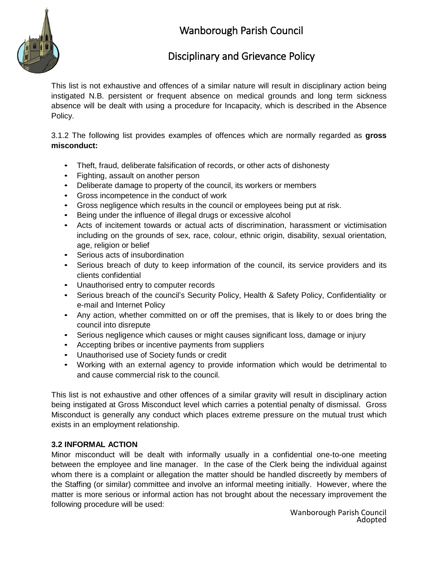

# Wanborough Parish Council

# Disciplinary and Grievance Policy

This list is not exhaustive and offences of a similar nature will result in disciplinary action being instigated N.B. persistent or frequent absence on medical grounds and long term sickness absence will be dealt with using a procedure for Incapacity, which is described in the Absence Policy.

3.1.2 The following list provides examples of offences which are normally regarded as **gross misconduct:**

- Theft, fraud, deliberate falsification of records, or other acts of dishonesty
- Fighting, assault on another person
- Deliberate damage to property of the council, its workers or members
- Gross incompetence in the conduct of work
- Gross negligence which results in the council or employees being put at risk.
- Being under the influence of illegal drugs or excessive alcohol
- Acts of incitement towards or actual acts of discrimination, harassment or victimisation including on the grounds of sex, race, colour, ethnic origin, disability, sexual orientation, age, religion or belief
- Serious acts of insubordination
- Serious breach of duty to keep information of the council, its service providers and its clients confidential
- Unauthorised entry to computer records
- Serious breach of the council's Security Policy, Health & Safety Policy, Confidentiality or e-mail and Internet Policy
- Any action, whether committed on or off the premises, that is likely to or does bring the council into disrepute
- Serious negligence which causes or might causes significant loss, damage or injury
- Accepting bribes or incentive payments from suppliers
- Unauthorised use of Society funds or credit
- Working with an external agency to provide information which would be detrimental to and cause commercial risk to the council.

This list is not exhaustive and other offences of a similar gravity will result in disciplinary action being instigated at Gross Misconduct level which carries a potential penalty of dismissal. Gross Misconduct is generally any conduct which places extreme pressure on the mutual trust which exists in an employment relationship.

## **3.2 INFORMAL ACTION**

Minor misconduct will be dealt with informally usually in a confidential one-to-one meeting between the employee and line manager. In the case of the Clerk being the individual against whom there is a complaint or allegation the matter should be handled discreetly by members of the Staffing (or similar) committee and involve an informal meeting initially. However, where the matter is more serious or informal action has not brought about the necessary improvement the following procedure will be used: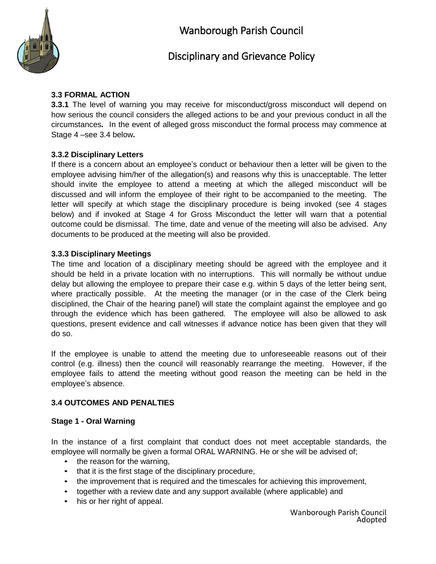

#### **3.3 FORMAL ACTION**

**3.3.1** The level of warning you may receive for misconduct/gross misconduct will depend on how serious the council considers the alleged actions to be and your previous conduct in all the circumstances**.** In the event of alleged gross misconduct the formal process may commence at Stage 4 –see 3.4 below**.**

#### **3.3.2 Disciplinary Letters**

If there is a concern about an employee's conduct or behaviour then a letter will be given to the employee advising him/her of the allegation(s) and reasons why this is unacceptable. The letter should invite the employee to attend a meeting at which the alleged misconduct will be discussed and will inform the employee of their right to be accompanied to the meeting. The letter will specify at which stage the disciplinary procedure is being invoked (see 4 stages below) and if invoked at Stage 4 for Gross Misconduct the letter will warn that a potential outcome could be dismissal. The time, date and venue of the meeting will also be advised. Any documents to be produced at the meeting will also be provided.

#### **3.3.3 Disciplinary Meetings**

The time and location of a disciplinary meeting should be agreed with the employee and it should be held in a private location with no interruptions. This will normally be without undue delay but allowing the employee to prepare their case e.g. within 5 days of the letter being sent, where practically possible. At the meeting the manager (or in the case of the Clerk being disciplined, the Chair of the hearing panel) will state the complaint against the employee and go through the evidence which has been gathered. The employee will also be allowed to ask questions, present evidence and call witnesses if advance notice has been given that they will do so.

If the employee is unable to attend the meeting due to unforeseeable reasons out of their control (e.g. illness) then the council will reasonably rearrange the meeting. However, if the employee fails to attend the meeting without good reason the meeting can be held in the employee's absence.

#### **3.4 OUTCOMES AND PENALTIES**

#### **Stage 1 - Oral Warning**

In the instance of a first complaint that conduct does not meet acceptable standards, the employee will normally be given a formal ORAL WARNING. He or she will be advised of;

- the reason for the warning,
- that it is the first stage of the disciplinary procedure,
- the improvement that is required and the timescales for achieving this improvement,
- together with a review date and any support available (where applicable) and
- his or her right of appeal.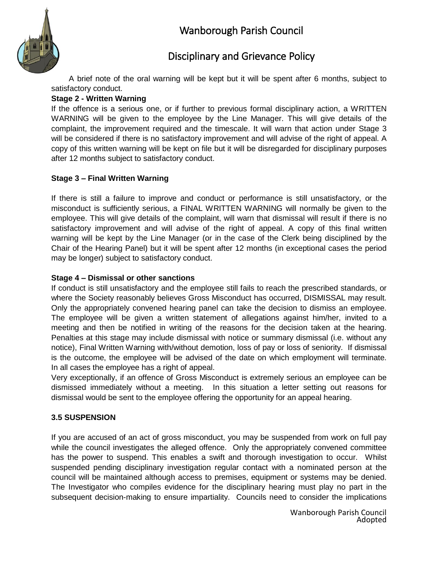

A brief note of the oral warning will be kept but it will be spent after 6 months, subject to satisfactory conduct.

## **Stage 2 - Written Warning**

If the offence is a serious one, or if further to previous formal disciplinary action, a WRITTEN WARNING will be given to the employee by the Line Manager. This will give details of the complaint, the improvement required and the timescale. It will warn that action under Stage 3 will be considered if there is no satisfactory improvement and will advise of the right of appeal. A copy of this written warning will be kept on file but it will be disregarded for disciplinary purposes after 12 months subject to satisfactory conduct.

### **Stage 3 – Final Written Warning**

If there is still a failure to improve and conduct or performance is still unsatisfactory, or the misconduct is sufficiently serious, a FINAL WRITTEN WARNING will normally be given to the employee. This will give details of the complaint, will warn that dismissal will result if there is no satisfactory improvement and will advise of the right of appeal. A copy of this final written warning will be kept by the Line Manager (or in the case of the Clerk being disciplined by the Chair of the Hearing Panel) but it will be spent after 12 months (in exceptional cases the period may be longer) subject to satisfactory conduct.

#### **Stage 4 – Dismissal or other sanctions**

If conduct is still unsatisfactory and the employee still fails to reach the prescribed standards, or where the Society reasonably believes Gross Misconduct has occurred, DISMISSAL may result. Only the appropriately convened hearing panel can take the decision to dismiss an employee. The employee will be given a written statement of allegations against him/her, invited to a meeting and then be notified in writing of the reasons for the decision taken at the hearing. Penalties at this stage may include dismissal with notice or summary dismissal (i.e. without any notice), Final Written Warning with/without demotion, loss of pay or loss of seniority. If dismissal is the outcome, the employee will be advised of the date on which employment will terminate. In all cases the employee has a right of appeal.

Very exceptionally, if an offence of Gross Misconduct is extremely serious an employee can be dismissed immediately without a meeting. In this situation a letter setting out reasons for dismissal would be sent to the employee offering the opportunity for an appeal hearing.

## **3.5 SUSPENSION**

If you are accused of an act of gross misconduct, you may be suspended from work on full pay while the council investigates the alleged offence. Only the appropriately convened committee has the power to suspend. This enables a swift and thorough investigation to occur. Whilst suspended pending disciplinary investigation regular contact with a nominated person at the council will be maintained although access to premises, equipment or systems may be denied. The Investigator who compiles evidence for the disciplinary hearing must play no part in the subsequent decision-making to ensure impartiality. Councils need to consider the implications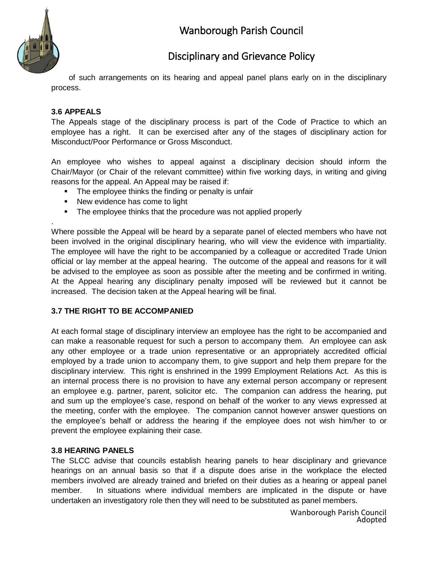

# Wanborough Parish Council

# Disciplinary and Grievance Policy

of such arrangements on its hearing and appeal panel plans early on in the disciplinary process.

### **3.6 APPEALS**

.

The Appeals stage of the disciplinary process is part of the Code of Practice to which an employee has a right. It can be exercised after any of the stages of disciplinary action for Misconduct/Poor Performance or Gross Misconduct.

An employee who wishes to appeal against a disciplinary decision should inform the Chair/Mayor (or Chair of the relevant committee) within five working days, in writing and giving reasons for the appeal. An Appeal may be raised if:

- **The employee thinks the finding or penalty is unfair**
- New evidence has come to light
- The employee thinks that the procedure was not applied properly

Where possible the Appeal will be heard by a separate panel of elected members who have not been involved in the original disciplinary hearing, who will view the evidence with impartiality. The employee will have the right to be accompanied by a colleague or accredited Trade Union official or lay member at the appeal hearing. The outcome of the appeal and reasons for it will be advised to the employee as soon as possible after the meeting and be confirmed in writing. At the Appeal hearing any disciplinary penalty imposed will be reviewed but it cannot be increased. The decision taken at the Appeal hearing will be final.

#### **3.7 THE RIGHT TO BE ACCOMPANIED**

At each formal stage of disciplinary interview an employee has the right to be accompanied and can make a reasonable request for such a person to accompany them. An employee can ask any other employee or a trade union representative or an appropriately accredited official employed by a trade union to accompany them, to give support and help them prepare for the disciplinary interview. This right is enshrined in the 1999 Employment Relations Act. As this is an internal process there is no provision to have any external person accompany or represent an employee e.g. partner, parent, solicitor etc. The companion can address the hearing, put and sum up the employee's case, respond on behalf of the worker to any views expressed at the meeting, confer with the employee. The companion cannot however answer questions on the employee's behalf or address the hearing if the employee does not wish him/her to or prevent the employee explaining their case.

#### **3.8 HEARING PANELS**

The SLCC advise that councils establish hearing panels to hear disciplinary and grievance hearings on an annual basis so that if a dispute does arise in the workplace the elected members involved are already trained and briefed on their duties as a hearing or appeal panel member. In situations where individual members are implicated in the dispute or have undertaken an investigatory role then they will need to be substituted as panel members.